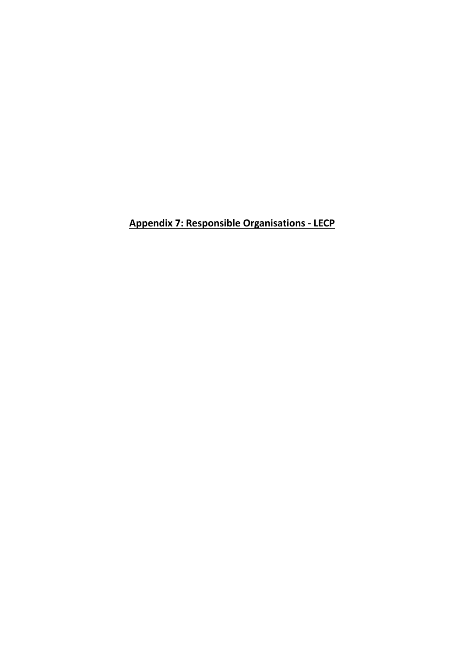**Appendix 7: Responsible Organisations - LECP**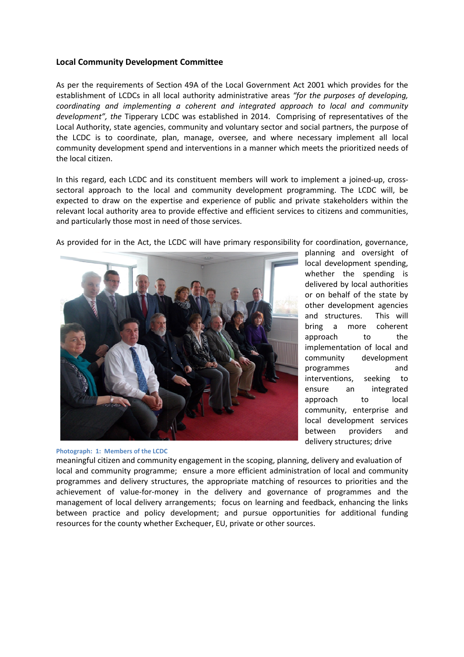## **Local Community Development Committee**

As per the requirements of Section 49A of the Local Government Act 2001 which provides for the establishment of LCDCs in all local authority administrative areas *"for the purposes of developing, coordinating and implementing a coherent and integrated approach to local and community*  development", the Tipperary LCDC was established in 2014. Comprising of representatives of the Local Authority, state agencies, community and voluntary sector and social partners, the purpose of the LCDC is to coordinate, plan, manage, oversee, and where necessary implement all local community development spend and interventions in a manner which meets the prioritized needs of the local citizen. blished in 2014. Comprising of representatives of the<br>nd voluntary sector and social partners, the purpose of<br>oversee, and where necessary implement all local<br>tions in a manner which meets the prioritized needs of<br>t member

In this regard, each LCDC and its constituent members will work to implement a joined-up, crosssectoral approach to the local and community development programming. The LCDC will, be expected to draw on the expertise and experience of public and private stakeholders within the relevant local authority area to provide effective and efficient services to citizens and communities, and particularly those most in need of those services.





## **Photograph: 1: Members of the LCDC**

planning and oversight of local development spending, whether the spending is delivered by local authorities or on behalf of the state by other development agencies and structures. This will bring a more coherent approach to the implementation of local and community development programmes and interventions, seeking to ensure an int approach to local community, enterprise and local development services between providers and delivery structures; drive exervices.<br>
Services.<br>
ave primary responsibility for coordination, governance,<br>
planning and oversight of<br>
local development spending,<br>
whether the spending is<br>
delivered by local authorities<br>
or on behalf of the state by

meaningful citizen and community engagement in the scoping, planning, delivery and evaluation of local and community programme; ensure a more efficient administration of local and community local and community programme; ensure a more efficient administration of local and community<br>programmes and delivery structures, the appropriate matching of resources to priorities and the achievement of value-for-money in the delivery and governance of programmes and the management of local delivery arrangements; focus on learning and formations and the management of local delivery arrangements; focus on learning and feedback, enhancing the links management of local delivery arrangements; focus on learning and feedback, enhancing the links<br>between practice and policy development; and pursue opportunities for additional funding resources for the county whether Exchequer, EU, private or other sources.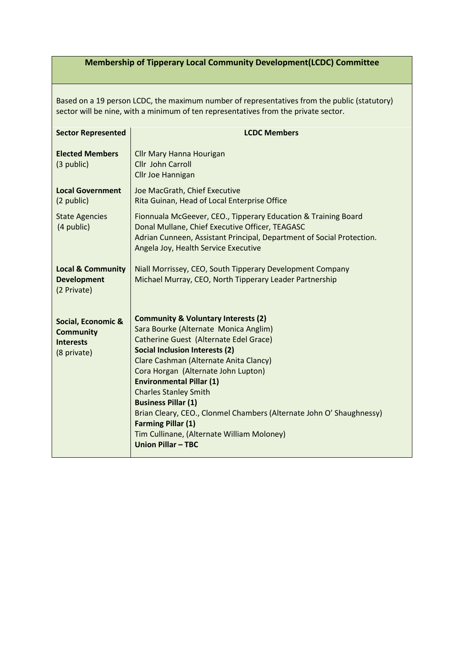## **Membership of Tipperary Local Community Development(LCDC) Committee**

Based on a 19 person LCDC, the maximum number of representatives from the public (statutory) sector will be nine, with a minimum of ten representatives from the private sector.

| <b>Sector Represented</b>                                                 | <b>LCDC Members</b>                                                                                                                                                                                                                                                                                                                                                                                                                                                                                                                          |
|---------------------------------------------------------------------------|----------------------------------------------------------------------------------------------------------------------------------------------------------------------------------------------------------------------------------------------------------------------------------------------------------------------------------------------------------------------------------------------------------------------------------------------------------------------------------------------------------------------------------------------|
| <b>Elected Members</b><br>(3 public)                                      | Cllr Mary Hanna Hourigan<br>Cllr John Carroll<br>Cllr Joe Hannigan                                                                                                                                                                                                                                                                                                                                                                                                                                                                           |
| <b>Local Government</b><br>(2 public)                                     | Joe MacGrath, Chief Executive<br>Rita Guinan, Head of Local Enterprise Office                                                                                                                                                                                                                                                                                                                                                                                                                                                                |
| <b>State Agencies</b><br>(4 public)                                       | Fionnuala McGeever, CEO., Tipperary Education & Training Board<br>Donal Mullane, Chief Executive Officer, TEAGASC<br>Adrian Cunneen, Assistant Principal, Department of Social Protection.<br>Angela Joy, Health Service Executive                                                                                                                                                                                                                                                                                                           |
| <b>Local &amp; Community</b><br><b>Development</b><br>(2 Private)         | Niall Morrissey, CEO, South Tipperary Development Company<br>Michael Murray, CEO, North Tipperary Leader Partnership                                                                                                                                                                                                                                                                                                                                                                                                                         |
| Social, Economic &<br><b>Community</b><br><b>Interests</b><br>(8 private) | <b>Community &amp; Voluntary Interests (2)</b><br>Sara Bourke (Alternate Monica Anglim)<br>Catherine Guest (Alternate Edel Grace)<br><b>Social Inclusion Interests (2)</b><br>Clare Cashman (Alternate Anita Clancy)<br>Cora Horgan (Alternate John Lupton)<br><b>Environmental Pillar (1)</b><br><b>Charles Stanley Smith</b><br><b>Business Pillar (1)</b><br>Brian Cleary, CEO., Clonmel Chambers (Alternate John O' Shaughnessy)<br><b>Farming Pillar (1)</b><br>Tim Cullinane, (Alternate William Moloney)<br><b>Union Pillar - TBC</b> |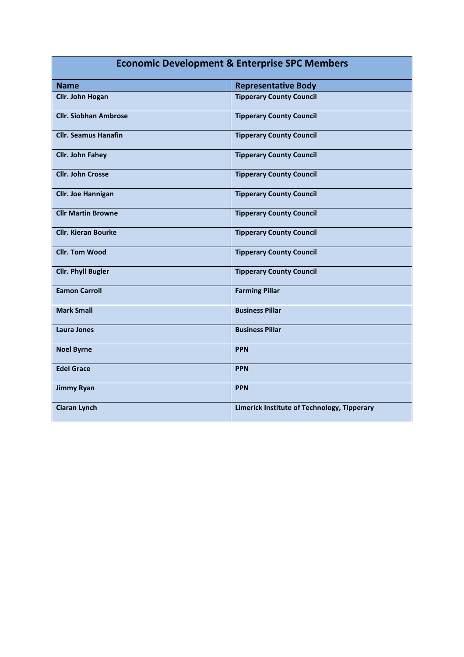| <b>Economic Development &amp; Enterprise SPC Members</b> |                                             |  |
|----------------------------------------------------------|---------------------------------------------|--|
| <b>Name</b>                                              | <b>Representative Body</b>                  |  |
| <b>Cllr. John Hogan</b>                                  | <b>Tipperary County Council</b>             |  |
| <b>Cllr. Siobhan Ambrose</b>                             | <b>Tipperary County Council</b>             |  |
| <b>Cllr. Seamus Hanafin</b>                              | <b>Tipperary County Council</b>             |  |
| <b>Cllr. John Fahey</b>                                  | <b>Tipperary County Council</b>             |  |
| <b>Cllr. John Crosse</b>                                 | <b>Tipperary County Council</b>             |  |
| <b>Cllr. Joe Hannigan</b>                                | <b>Tipperary County Council</b>             |  |
| <b>Cllr Martin Browne</b>                                | <b>Tipperary County Council</b>             |  |
| <b>Cllr. Kieran Bourke</b>                               | <b>Tipperary County Council</b>             |  |
| <b>Cllr. Tom Wood</b>                                    | <b>Tipperary County Council</b>             |  |
| <b>Cllr. Phyll Bugler</b>                                | <b>Tipperary County Council</b>             |  |
| <b>Eamon Carroll</b>                                     | <b>Farming Pillar</b>                       |  |
| <b>Mark Small</b>                                        | <b>Business Pillar</b>                      |  |
| <b>Laura Jones</b>                                       | <b>Business Pillar</b>                      |  |
| <b>Noel Byrne</b>                                        | <b>PPN</b>                                  |  |
| <b>Edel Grace</b>                                        | <b>PPN</b>                                  |  |
| <b>Jimmy Ryan</b>                                        | <b>PPN</b>                                  |  |
| <b>Ciaran Lynch</b>                                      | Limerick Institute of Technology, Tipperary |  |